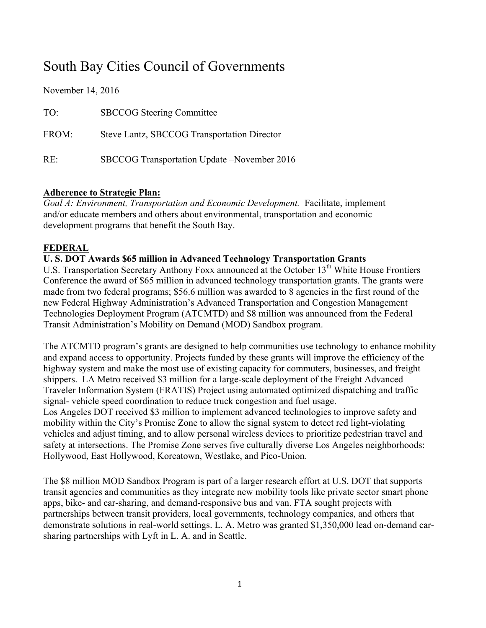# South Bay Cities Council of Governments

| November 14, 2016 |                                              |
|-------------------|----------------------------------------------|
| TO:               | <b>SBCCOG</b> Steering Committee             |
| FROM:             | Steve Lantz, SBCCOG Transportation Director  |
| RE:               | SBCCOG Transportation Update – November 2016 |

### **Adherence to Strategic Plan:**

 $\overline{A}$   $\overline{A}$   $\overline{A}$   $\overline{A}$   $\overline{A}$   $\overline{A}$ 

*Goal A: Environment, Transportation and Economic Development.* Facilitate, implement and/or educate members and others about environmental, transportation and economic development programs that benefit the South Bay.

### **FEDERAL**

#### **U. S. DOT Awards \$65 million in Advanced Technology Transportation Grants**

U.S. Transportation Secretary Anthony Foxx announced at the October 13<sup>th</sup> White House Frontiers Conference the award of \$65 million in advanced technology transportation grants. The grants were made from two federal programs; \$56.6 million was awarded to 8 agencies in the first round of the new Federal Highway Administration's Advanced Transportation and Congestion Management Technologies Deployment Program (ATCMTD) and \$8 million was announced from the Federal Transit Administration's Mobility on Demand (MOD) Sandbox program.

The ATCMTD program's grants are designed to help communities use technology to enhance mobility and expand access to opportunity. Projects funded by these grants will improve the efficiency of the highway system and make the most use of existing capacity for commuters, businesses, and freight shippers. LA Metro received \$3 million for a large-scale deployment of the Freight Advanced Traveler Information System (FRATIS) Project using automated optimized dispatching and traffic signal- vehicle speed coordination to reduce truck congestion and fuel usage. Los Angeles DOT received \$3 million to implement advanced technologies to improve safety and mobility within the City's Promise Zone to allow the signal system to detect red light-violating vehicles and adjust timing, and to allow personal wireless devices to prioritize pedestrian travel and safety at intersections. The Promise Zone serves five culturally diverse Los Angeles neighborhoods:

Hollywood, East Hollywood, Koreatown, Westlake, and Pico-Union.

The \$8 million MOD Sandbox Program is part of a larger research effort at U.S. DOT that supports transit agencies and communities as they integrate new mobility tools like private sector smart phone apps, bike- and car-sharing, and demand-responsive bus and van. FTA sought projects with partnerships between transit providers, local governments, technology companies, and others that demonstrate solutions in real-world settings. L. A. Metro was granted \$1,350,000 lead on-demand carsharing partnerships with Lyft in L. A. and in Seattle.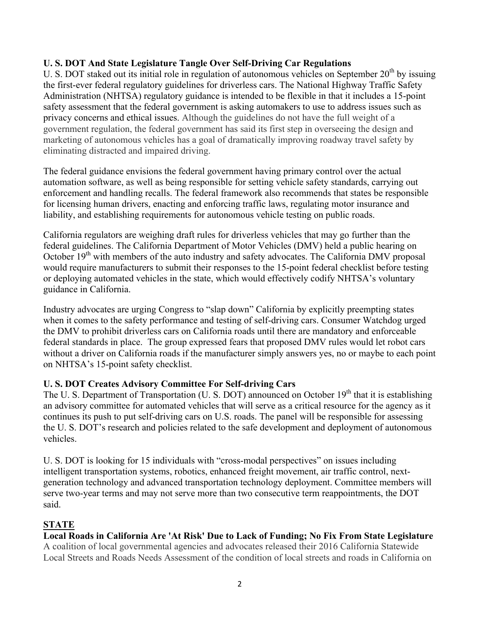## **U. S. DOT And State Legislature Tangle Over Self-Driving Car Regulations**

U. S. DOT staked out its initial role in regulation of autonomous vehicles on September  $20<sup>th</sup>$  by issuing the first-ever federal regulatory guidelines for driverless cars. The National Highway Traffic Safety Administration (NHTSA) regulatory guidance is intended to be flexible in that it includes a 15-point safety assessment that the federal government is asking automakers to use to address issues such as privacy concerns and ethical issues. Although the guidelines do not have the full weight of a government regulation, the federal government has said its first step in overseeing the design and marketing of autonomous vehicles has a goal of dramatically improving roadway travel safety by eliminating distracted and impaired driving.

The federal guidance envisions the federal government having primary control over the actual automation software, as well as being responsible for setting vehicle safety standards, carrying out enforcement and handling recalls. The federal framework also recommends that states be responsible for licensing human drivers, enacting and enforcing traffic laws, regulating motor insurance and liability, and establishing requirements for autonomous vehicle testing on public roads.

California regulators are weighing draft rules for driverless vehicles that may go further than the federal guidelines. The California Department of Motor Vehicles (DMV) held a public hearing on October  $19<sup>th</sup>$  with members of the auto industry and safety advocates. The California DMV proposal would require manufacturers to submit their responses to the 15-point federal checklist before testing or deploying automated vehicles in the state, which would effectively codify NHTSA's voluntary guidance in California.

Industry advocates are urging Congress to "slap down" California by explicitly preempting states when it comes to the safety performance and testing of self-driving cars. Consumer Watchdog urged the DMV to prohibit driverless cars on California roads until there are mandatory and enforceable federal standards in place. The group expressed fears that proposed DMV rules would let robot cars without a driver on California roads if the manufacturer simply answers yes, no or maybe to each point on NHTSA's 15-point safety checklist.

### **U. S. DOT Creates Advisory Committee For Self-driving Cars**

The U. S. Department of Transportation (U. S. DOT) announced on October  $19<sup>th</sup>$  that it is establishing an advisory committee for automated vehicles that will serve as a critical resource for the agency as it continues its push to put self-driving cars on U.S. roads. The panel will be responsible for assessing the U. S. DOT's research and policies related to the safe development and deployment of autonomous vehicles.

U. S. DOT is looking for 15 individuals with "cross-modal perspectives" on issues including intelligent transportation systems, robotics, enhanced freight movement, air traffic control, nextgeneration technology and advanced transportation technology deployment. Committee members will serve two-year terms and may not serve more than two consecutive term reappointments, the DOT said.

## **STATE**

## **Local Roads in California Are 'At Risk' Due to Lack of Funding; No Fix From State Legislature**

A coalition of local governmental agencies and advocates released their 2016 California Statewide Local Streets and Roads Needs Assessment of the condition of local streets and roads in California on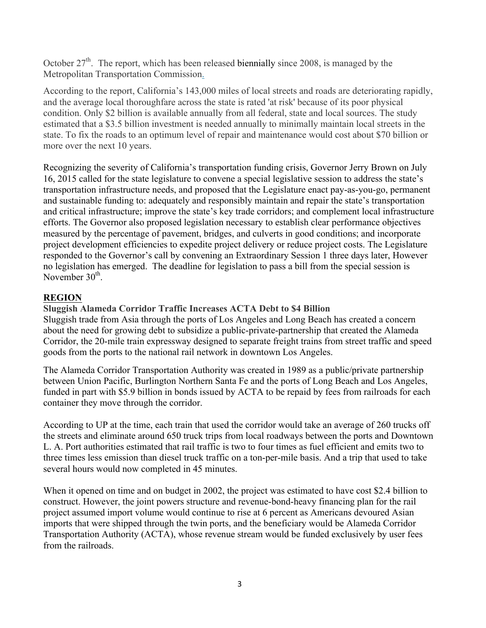October  $27<sup>th</sup>$ . The report, which has been released biennially since 2008, is managed by the Metropolitan Transportation Commission.

According to the report, California's 143,000 miles of local streets and roads are deteriorating rapidly, and the average local thoroughfare across the state is rated 'at risk' because of its poor physical condition. Only \$2 billion is available annually from all federal, state and local sources. The study estimated that a \$3.5 billion investment is needed annually to minimally maintain local streets in the state. To fix the roads to an optimum level of repair and maintenance would cost about \$70 billion or more over the next 10 years.

Recognizing the severity of California's transportation funding crisis, Governor Jerry Brown on July 16, 2015 called for the state legislature to convene a special legislative session to address the state's transportation infrastructure needs, and proposed that the Legislature enact pay-as-you-go, permanent and sustainable funding to: adequately and responsibly maintain and repair the state's transportation and critical infrastructure; improve the state's key trade corridors; and complement local infrastructure efforts. The Governor also proposed legislation necessary to establish clear performance objectives measured by the percentage of pavement, bridges, and culverts in good conditions; and incorporate project development efficiencies to expedite project delivery or reduce project costs. The Legislature responded to the Governor's call by convening an Extraordinary Session 1 three days later, However no legislation has emerged. The deadline for legislation to pass a bill from the special session is November  $30<sup>th</sup>$ .

## **REGION**

### **Sluggish Alameda Corridor Traffic Increases ACTA Debt to \$4 Billion**

Sluggish trade from Asia through the ports of Los Angeles and Long Beach has created a concern about the need for growing debt to subsidize a public-private-partnership that created the Alameda Corridor, the 20-mile train expressway designed to separate freight trains from street traffic and speed goods from the ports to the national rail network in downtown Los Angeles.

The Alameda Corridor Transportation Authority was created in 1989 as a public/private partnership between Union Pacific, Burlington Northern Santa Fe and the ports of Long Beach and Los Angeles, funded in part with \$5.9 billion in bonds issued by ACTA to be repaid by fees from railroads for each container they move through the corridor.

According to UP at the time, each train that used the corridor would take an average of 260 trucks off the streets and eliminate around 650 truck trips from local roadways between the ports and Downtown L. A. Port authorities estimated that rail traffic is two to four times as fuel efficient and emits two to three times less emission than diesel truck traffic on a ton-per-mile basis. And a trip that used to take several hours would now completed in 45 minutes.

When it opened on time and on budget in 2002, the project was estimated to have cost \$2.4 billion to construct. However, the joint powers structure and revenue-bond-heavy financing plan for the rail project assumed import volume would continue to rise at 6 percent as Americans devoured Asian imports that were shipped through the twin ports, and the beneficiary would be Alameda Corridor Transportation Authority (ACTA), whose revenue stream would be funded exclusively by user fees from the railroads.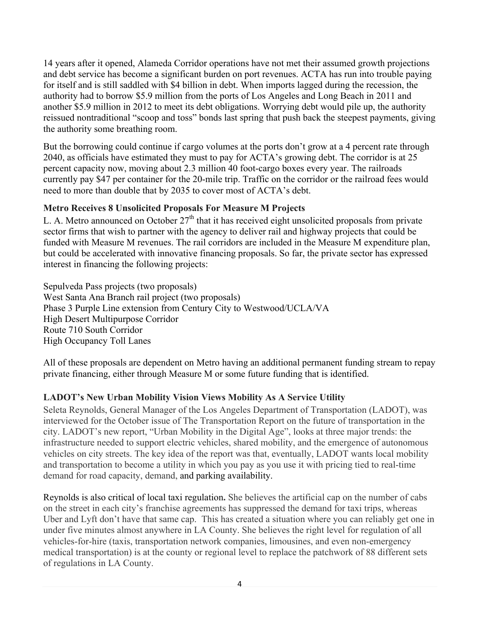14 years after it opened, Alameda Corridor operations have not met their assumed growth projections and debt service has become a significant burden on port revenues. ACTA has run into trouble paying for itself and is still saddled with \$4 billion in debt. When imports lagged during the recession, the authority had to borrow \$5.9 million from the ports of Los Angeles and Long Beach in 2011 and another \$5.9 million in 2012 to meet its debt obligations. Worrying debt would pile up, the authority reissued nontraditional "scoop and toss" bonds last spring that push back the steepest payments, giving the authority some breathing room.

But the borrowing could continue if cargo volumes at the ports don't grow at a 4 percent rate through 2040, as officials have estimated they must to pay for ACTA's growing debt. The corridor is at 25 percent capacity now, moving about 2.3 million 40 foot-cargo boxes every year. The railroads currently pay \$47 per container for the 20-mile trip. Traffic on the corridor or the railroad fees would need to more than double that by 2035 to cover most of ACTA's debt.

## **Metro Receives 8 Unsolicited Proposals For Measure M Projects**

L. A. Metro announced on October  $27<sup>th</sup>$  that it has received eight unsolicited proposals from private sector firms that wish to partner with the agency to deliver rail and highway projects that could be funded with Measure M revenues. The rail corridors are included in the Measure M expenditure plan, but could be accelerated with innovative financing proposals. So far, the private sector has expressed interest in financing the following projects:

Sepulveda Pass projects (two proposals) West Santa Ana Branch rail project (two proposals) Phase 3 Purple Line extension from Century City to Westwood/UCLA/VA High Desert Multipurpose Corridor Route 710 South Corridor High Occupancy Toll Lanes

All of these proposals are dependent on Metro having an additional permanent funding stream to repay private financing, either through Measure M or some future funding that is identified.

## **LADOT's New Urban Mobility Vision Views Mobility As A Service Utility**

Seleta Reynolds, General Manager of the Los Angeles Department of Transportation (LADOT), was interviewed for the October issue of The Transportation Report on the future of transportation in the city. LADOT's new report, "Urban Mobility in the Digital Age", looks at three major trends: the infrastructure needed to support electric vehicles, shared mobility, and the emergence of autonomous vehicles on city streets. The key idea of the report was that, eventually, LADOT wants local mobility and transportation to become a utility in which you pay as you use it with pricing tied to real-time demand for road capacity, demand, and parking availability.

Reynolds is also critical of local taxi regulation**.** She believes the artificial cap on the number of cabs on the street in each city's franchise agreements has suppressed the demand for taxi trips, whereas Uber and Lyft don't have that same cap. This has created a situation where you can reliably get one in under five minutes almost anywhere in LA County. She believes the right level for regulation of all vehicles-for-hire (taxis, transportation network companies, limousines, and even non-emergency medical transportation) is at the county or regional level to replace the patchwork of 88 different sets of regulations in LA County.